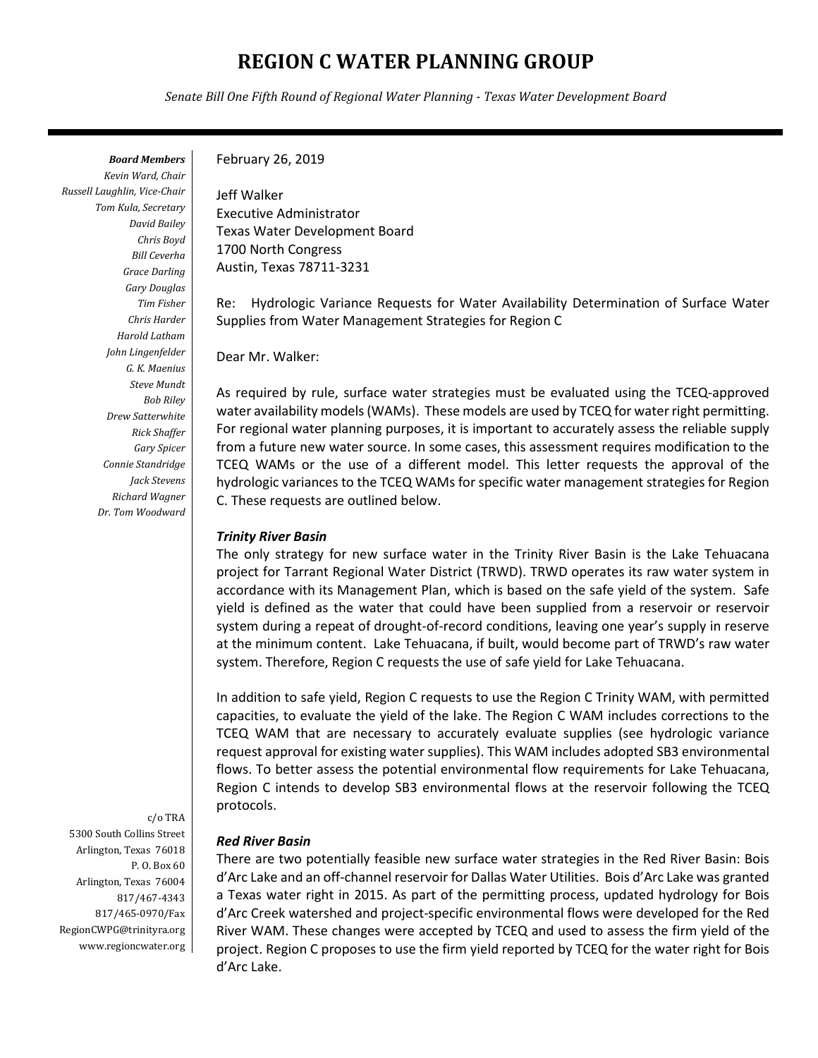# **REGION C WATER PLANNING GROUP**

*Senate Bill One Fifth Round of Regional Water Planning - Texas Water Development Board*

*Board Members Kevin Ward, Chair Russell Laughlin, Vice-Chair Tom Kula, Secretary David Bailey Chris Boyd Bill Ceverha Grace Darling Gary Douglas Tim Fisher Chris Harder Harold Latham John Lingenfelder G. K. Maenius Steve Mundt Bob Riley Drew Satterwhite Rick Shaffer Gary Spicer Connie Standridge Jack Stevens Richard Wagner Dr. Tom Woodward* 

c/o TRA 5300 South Collins Street Arlington, Texas 76018 P. O. Box 60 Arlington, Texas 76004 817/467-4343 817/465-0970/Fax RegionCWPG@trinityra.org www.regioncwater.org

#### February 26, 2019

Jeff Walker Executive Administrator Texas Water Development Board 1700 North Congress Austin, Texas 78711-3231

Re: Hydrologic Variance Requests for Water Availability Determination of Surface Water Supplies from Water Management Strategies for Region C

Dear Mr. Walker:

As required by rule, surface water strategies must be evaluated using the TCEQ-approved water availability models (WAMs). These models are used by TCEQ for water right permitting. For regional water planning purposes, it is important to accurately assess the reliable supply from a future new water source. In some cases, this assessment requires modification to the TCEQ WAMs or the use of a different model. This letter requests the approval of the hydrologic variances to the TCEQ WAMs for specific water management strategies for Region C. These requests are outlined below.

### *Trinity River Basin*

The only strategy for new surface water in the Trinity River Basin is the Lake Tehuacana project for Tarrant Regional Water District (TRWD). TRWD operates its raw water system in accordance with its Management Plan, which is based on the safe yield of the system. Safe yield is defined as the water that could have been supplied from a reservoir or reservoir system during a repeat of drought-of-record conditions, leaving one year's supply in reserve at the minimum content. Lake Tehuacana, if built, would become part of TRWD's raw water system. Therefore, Region C requests the use of safe yield for Lake Tehuacana.

In addition to safe yield, Region C requests to use the Region C Trinity WAM, with permitted capacities, to evaluate the yield of the lake. The Region C WAM includes corrections to the TCEQ WAM that are necessary to accurately evaluate supplies (see hydrologic variance request approval for existing water supplies). This WAM includes adopted SB3 environmental flows. To better assess the potential environmental flow requirements for Lake Tehuacana, Region C intends to develop SB3 environmental flows at the reservoir following the TCEQ protocols.

#### *Red River Basin*

There are two potentially feasible new surface water strategies in the Red River Basin: Bois d'Arc Lake and an off-channel reservoir for Dallas Water Utilities. Bois d'Arc Lake was granted a Texas water right in 2015. As part of the permitting process, updated hydrology for Bois d'Arc Creek watershed and project-specific environmental flows were developed for the Red River WAM. These changes were accepted by TCEQ and used to assess the firm yield of the project. Region C proposes to use the firm yield reported by TCEQ for the water right for Bois d'Arc Lake.